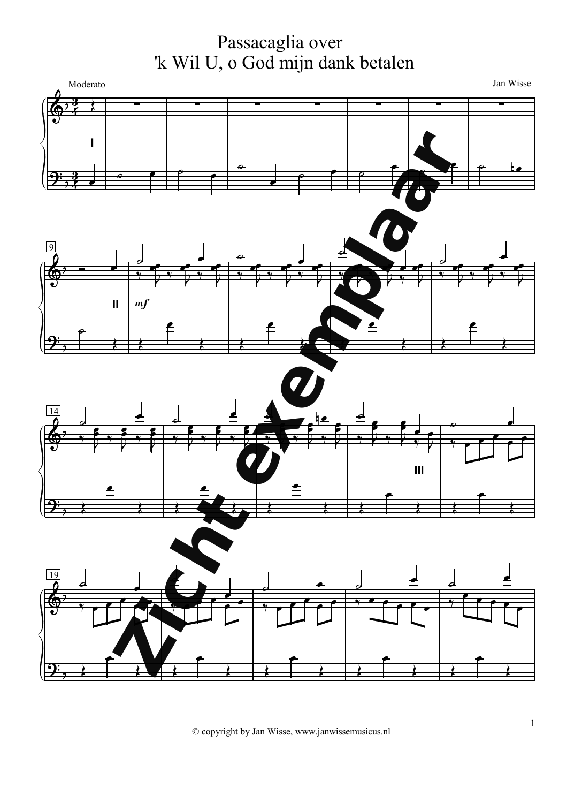Passacaglia over 'k Wil U, o God mijn dank betalen

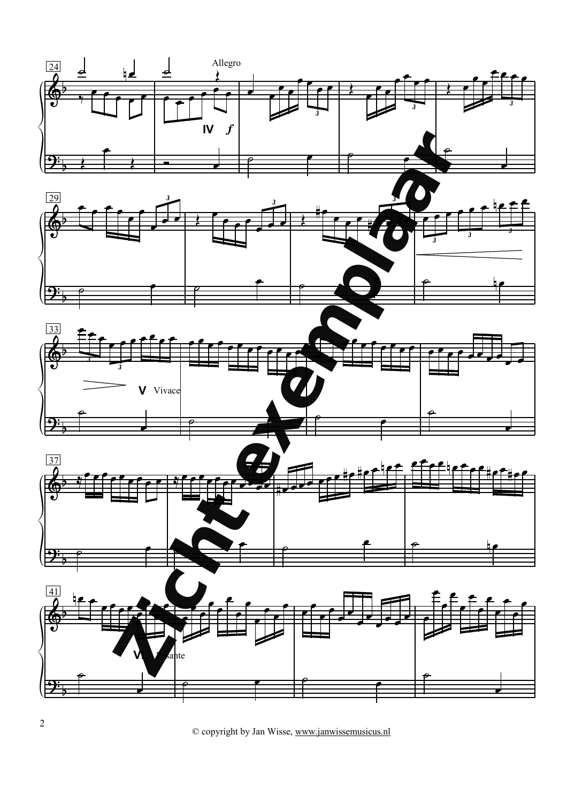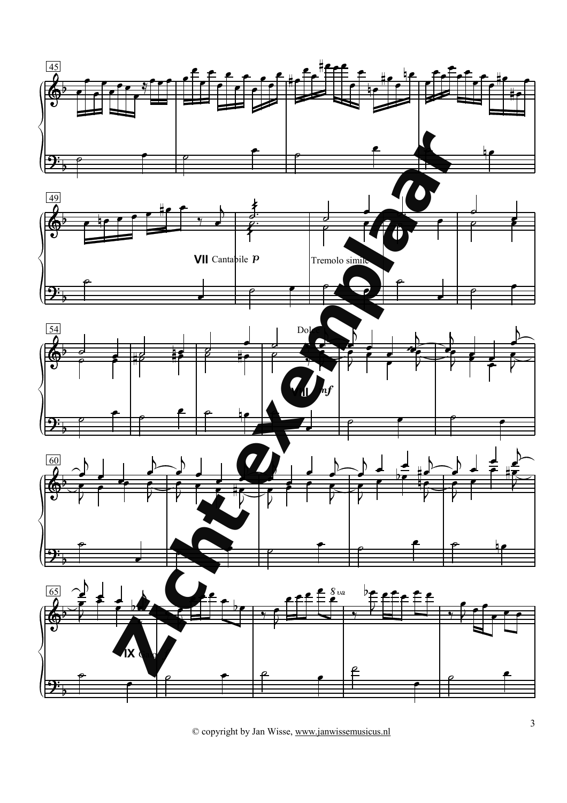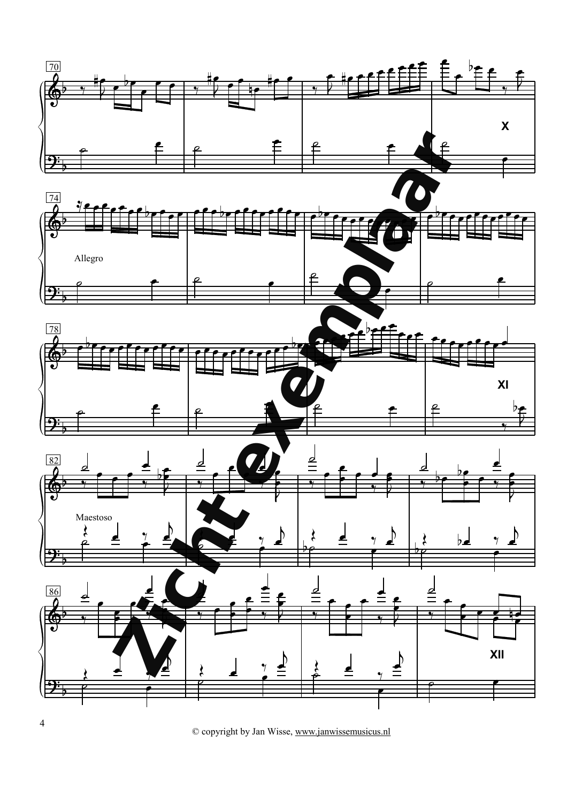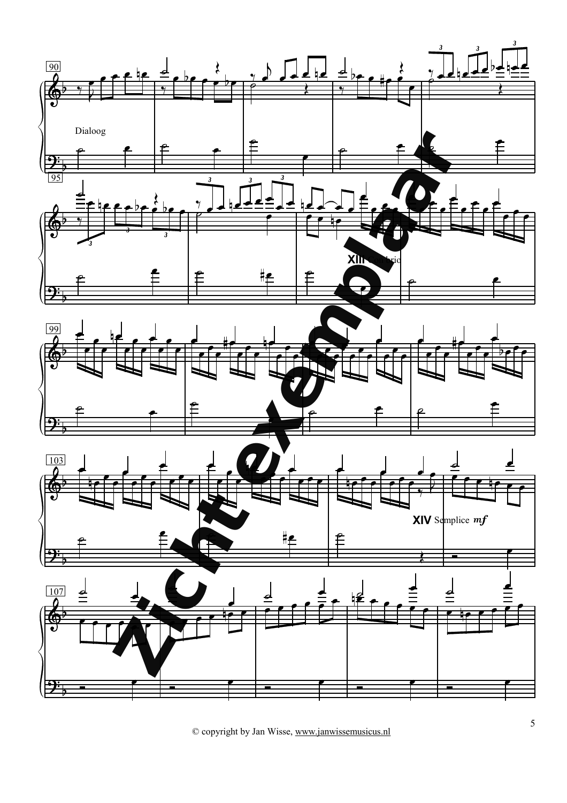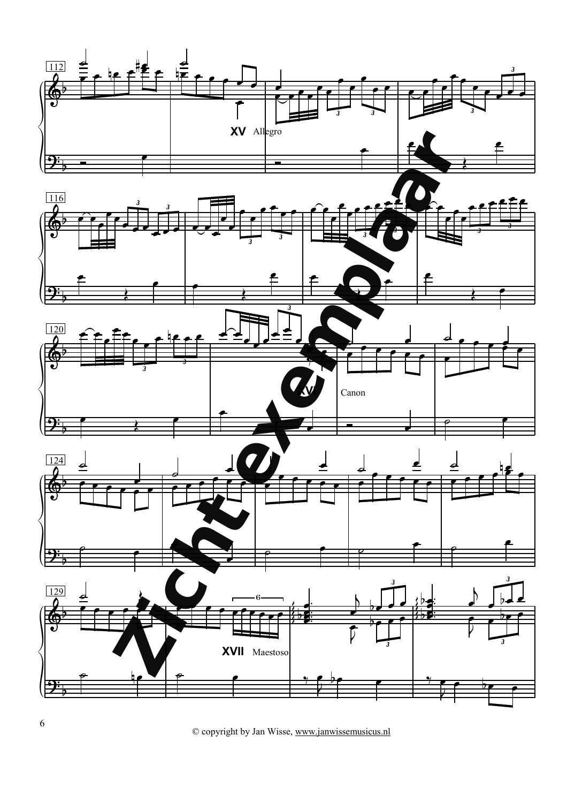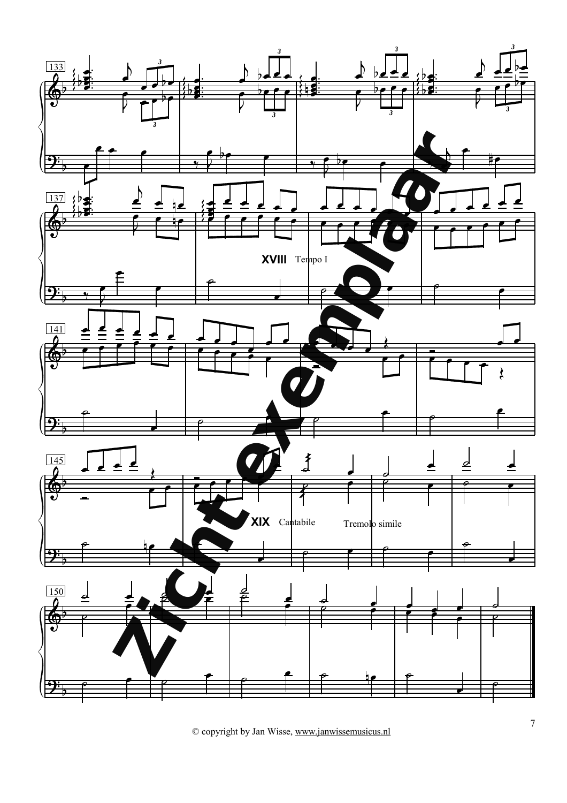